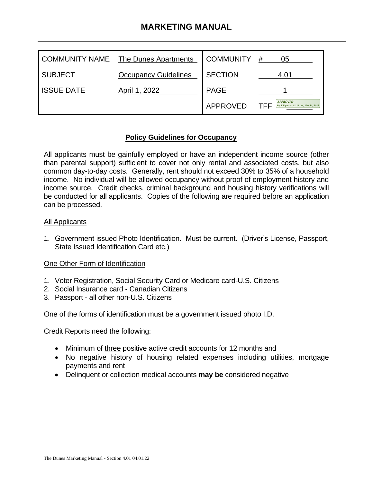# **MARKETING MANUAL**

| COMMUNITY NAME    | The Dunes Apartments        | <b>COMMUNITY</b> | #<br>05                                                        |
|-------------------|-----------------------------|------------------|----------------------------------------------------------------|
| <b>SUBJECT</b>    | <b>Occupancy Guidelines</b> | <b>SECTION</b>   | 4.01                                                           |
| <b>ISSUE DATE</b> | April 1, 2022               | <b>PAGE</b>      |                                                                |
|                   |                             | APPROVED         | <b>APPROVED</b><br>TFF<br>By T Flynn at 12:34 pm, Mar 31, 2022 |

## **Policy Guidelines for Occupancy**

All applicants must be gainfully employed or have an independent income source (other than parental support) sufficient to cover not only rental and associated costs, but also common day-to-day costs. Generally, rent should not exceed 30% to 35% of a household income. No individual will be allowed occupancy without proof of employment history and income source. Credit checks, criminal background and housing history verifications will be conducted for all applicants. Copies of the following are required before an application can be processed.

## All Applicants

1. Government issued Photo Identification. Must be current. (Driver's License, Passport, State Issued Identification Card etc.)

## One Other Form of Identification

- 1. Voter Registration, Social Security Card or Medicare card-U.S. Citizens
- 2. Social Insurance card Canadian Citizens
- 3. Passport all other non-U.S. Citizens

One of the forms of identification must be a government issued photo I.D.

Credit Reports need the following:

- Minimum of three positive active credit accounts for 12 months and
- No negative history of housing related expenses including utilities, mortgage payments and rent
- Delinquent or collection medical accounts **may be** considered negative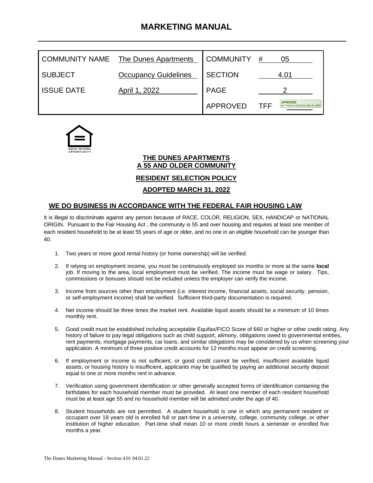# **MARKETING MANUAL**

|                   | COMMUNITY NAME The Dunes Apartments | <b>COMMUNITY</b> | #<br>05                                                        |
|-------------------|-------------------------------------|------------------|----------------------------------------------------------------|
| <b>SUBJECT</b>    | <b>Occupancy Guidelines</b>         | <b>SECTION</b>   | 4.01                                                           |
| <b>ISSUE DATE</b> | April 1, 2022                       | <b>PAGE</b>      |                                                                |
|                   |                                     | APPROVED         | <b>APPROVED</b><br>TFF<br>By T Flynn at 12:34 pm, Mar 31, 2022 |



#### **THE DUNES APARTMENTS A 55 AND OLDER COMMUNITY**

### **RESIDENT SELECTION POLICY**

### **ADOPTED MARCH 31, 2022**

### **WE DO BUSINESS IN ACCORDANCE WITH THE FEDERAL FAIR HOUSING LAW**

It is illegal to discriminate against any person because of RACE, COLOR, RELIGION, SEX, HANDICAP or NATIONAL ORIGIN. Pursuant to the Fair Housing Act , the community is 55 and over housing and requires at least one member of each resident household to be at least 55 years of age or older, and no one in an eligible household can be younger than 40.

- 1. Two years or more good rental history (or home ownership) will be verified.
- 2. If relying on employment income, you must be continuously employed six months or more at the same **local** job. If moving to the area, local employment must be verified. The income must be wage or salary. Tips, commissions or bonuses should not be included unless the employer can verify the income.
- 3. Income from sources other than employment (i.e. interest income, financial assets, social security, pension, or self-employment income) shall be verified. Sufficient third-party documentation is required.
- 4. Net income should be three times the market rent. Available liquid assets should be a minimum of 10 times monthly rent.
- 5. Good credit must be established including acceptable Equifax/FICO Score of 660 or higher or other credit rating. Any history of failure to pay legal obligations such as child support, alimony, obligations owed to governmental entities, rent payments, mortgage payments, car loans, and similar obligations may be considered by us when screening your application. A minimum of three positive credit accounts for 12 months must appear on credit screening.
- 6. If employment or income is not sufficient, or good credit cannot be verified, insufficient available liquid assets, or housing history is insufficient, applicants may be qualified by paying an additional security deposit equal to one or more months rent in advance.
- 7. Verification using government identification or other generally accepted forms of identification containing the birthdates for each household member must be provided. At least one member of each resident household must be at least age 55 and no household member will be admitted under the age of 40.
- 8. Student households are not permitted. A student household is one in which any permanent resident or occupant over 18 years old is enrolled full or part-time in a university, college, community college, or other institution of higher education. Part-time shall mean 10 or more credit hours a semester or enrolled five months a year.